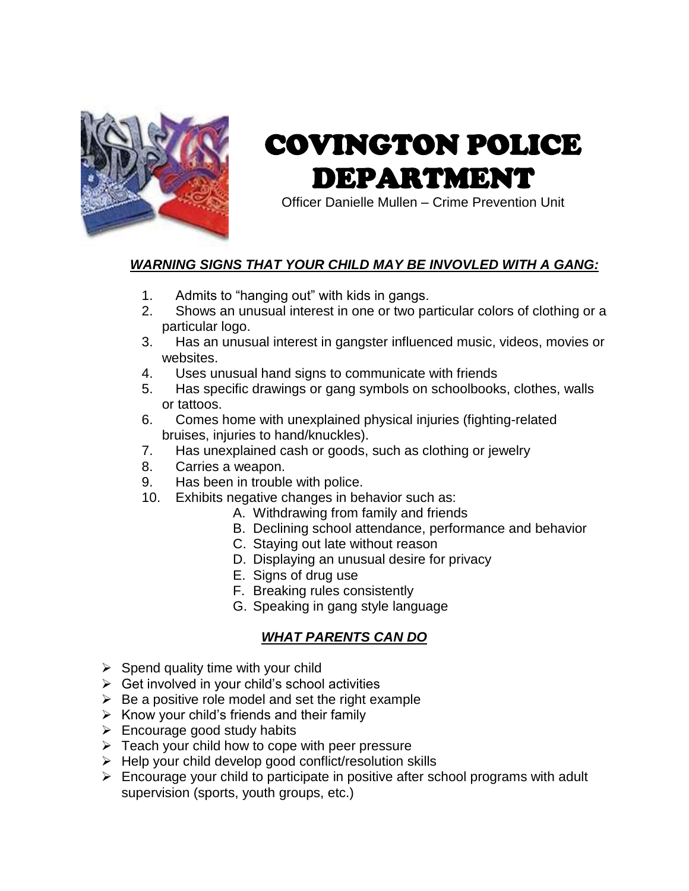

# COVINGTON POLICE DEPARTMENT

Officer Danielle Mullen – Crime Prevention Unit

## *WARNING SIGNS THAT YOUR CHILD MAY BE INVOVLED WITH A GANG:*

- 1. Admits to "hanging out" with kids in gangs.
- 2. Shows an unusual interest in one or two particular colors of clothing or a particular logo.
- 3. Has an unusual interest in gangster influenced music, videos, movies or websites.
- 4. Uses unusual hand signs to communicate with friends
- 5. Has specific drawings or gang symbols on schoolbooks, clothes, walls or tattoos.
- 6. Comes home with unexplained physical injuries (fighting-related bruises, injuries to hand/knuckles).
- 7. Has unexplained cash or goods, such as clothing or jewelry
- 8. Carries a weapon.
- 9. Has been in trouble with police.
- 10. Exhibits negative changes in behavior such as:
	- A. Withdrawing from family and friends
	- B. Declining school attendance, performance and behavior
	- C. Staying out late without reason
	- D. Displaying an unusual desire for privacy
	- E. Signs of drug use
	- F. Breaking rules consistently
	- G. Speaking in gang style language

#### *WHAT PARENTS CAN DO*

- $\triangleright$  Spend quality time with your child
- $\triangleright$  Get involved in your child's school activities
- $\triangleright$  Be a positive role model and set the right example
- $\triangleright$  Know your child's friends and their family
- $\triangleright$  Encourage good study habits
- $\triangleright$  Teach your child how to cope with peer pressure
- $\triangleright$  Help your child develop good conflict/resolution skills
- $\triangleright$  Encourage your child to participate in positive after school programs with adult supervision (sports, youth groups, etc.)